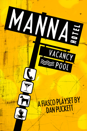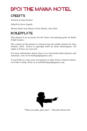# DP01 THE MANNA HOTEL

#### **CREDITS**

Written by Dan Puckett

Edited by Steve Segedy

Manna Hotel was Playset of the Month, July 2010.

#### BOILERPLATE

This playset is an accessory for the Fiasco role-playing game by Bully Pulpit Games.

The content of this playset is released into the public domain by Dan Puckett, 2010. Fiasco is copyright 2009 by Jason Morningstar. All rights to Fiasco are reserved.

For more information about Fiasco or to download other playsets and materials, visit www.bullypulpitgames.com.

If you'd like to create your own playset or other Fiasco-related content, we'd like to help. Write us at info@bullypulpitgames.com.



"When you play, play *hard*." - Theodore Roosevelt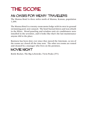### THE SCORE

#### AN OASIS FOR WEARY TRAVELERS

The Manna Hotel is three miles north of Manna, Kansas, population 1,200.

The Manna Hotel is a twenty-room motor lodge with its own in-ground swimming pool, now unused. The hotel burned down and was rebuilt in the fifties. Wood paneling and window-unit air conditioners were installed in the seventies, and it looks like that's the last maintenance anyone did to the place.

Business has been slow ever since they moved the Interstate, so ten of the rooms are closed all the time now. The other ten rooms are rented and cleaned by a manager who lives on the premises.

#### MOVIE NIGHT

Bottle Rocket, The Big Lebowski, Twin Peaks (TV)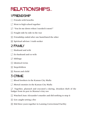# relationships...

#### 1 FRIENDSHIP

- $\lceil \cdot \rceil$  Friends with benefits
- $\Gamma$  Went to high school together
- The "You let me down when I needed it most!"
- $\boxed{\therefore}$  Fought side by side in the war
- $\mathbb{E}$  Friendship ended after one humiliated the other
- **1** Spiritual advisor / truth-seeker

#### 2 FAMILY

- $\lceil \cdot \rceil$  Husband and wife
- $\Gamma$  Ex-husband and ex-wife
- $\cdot$  Siblings
- $\mathbb{R}$  Identical twins
- $\mathbb{E}$  Stepchildren
- **1** Parent and child

#### 3 crime

- $\lceil \cdot \rceil$  Blood brothers in the Kansas City Mafia
- $\Gamma$  Mortal enemies in the Kansas City Mafia
- $\ddot{\cdot}$  Together, planned and executed a daring, drunken theft of the badger from its pen in Manna's tiny zoo
- $\therefore$  Watched June Alexander's murder and did nothing to stop it
- $\mathbb{E}$  Got caught setting a fire
- **11** Did three years together in Lansing Correctional Facility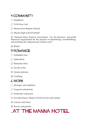#### 4 COMMUNITY

- $\lceil \cdot \rceil$  Neighbors
- $\Gamma$  VFW Post 1161
- 3 Manna First Baptist Church
- $\boxed{::}$  Manna high school football

5 National Pony Express Association, "an all-volunteer, non-profit historical organization for the purpose of identifying, reestablishing, and marking the original pony express trail"

**ii** Bingo!

#### 5 romance

- $\lceil \cdot \rceil$  Forbidden love
- $\Gamma$  Infatuation
- $\overline{S}$  Romantic bliss
- $\mathbb{R}$  On the rocks
- $\mathbb{E}$  Insane jealousy
- **1** Loathing

#### 6 work

- $\lceil \cdot \rceil$  Manager and employee
- $\Gamma$  Sergeant and private
- $\cdot$  Innkeeper and guest
- $\therefore$  Seventh Degree Master of Fell Secrets and Initiate
- $\mathbb{E}$  Lawyer and client
- **1** Doctor and patient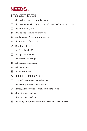### NEEDS...

#### 1 TO GET EVEN

- $\lceil \cdot \rceil$  ... by taking what is rightfully yours
- $\cdot$   $\cdot$   $\cdot$   $\cdot$  by destroying what she never should have had in the first place
- $\overline{S}$  ... by humiliating him
- $\boxed{::}$  ... but no one can know it was you
- **5.** ... and everyone has to know it was you
- $\boxed{\vdots}$  ... for the good of America

#### 2 TO GET OUT

- $\lceil \cdot \rceil$  ... of these handcuffs
- $\cdot$   $\cdot$   $\cdot$  of sight for a while
- $\boxed{\cdot}$  ... of your "relationship"
- $\boxed{\therefore}$  ... of a promise you made
- $\boxed{5}$  ... of your marriage
- **ii** ... of your contract

#### 3 TO GET RESPECT

- $\lceil \cdot \rceil$  ... by making everyone afraid of you
- $\boxed{\cdot}$  ... by making everyone mad at you
- $\ddot{\cdot}$  ... through the exercise of subtle mystical powers
- $\boxed{\therefore}$  ... from the one you love
- $\boxed{5}$  ... from the one you hate
- **11** ... by living an epic story that will make you a hero forever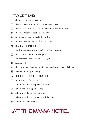#### 4 TO GET LAID

- $\lceil \cdot \rceil$  ... because she can protect me
- 2 ... because I can use him to get what I *really* want
- $\overline{3}$  ... because that's what you do when you are deeply in love
- $\boxed{::}$  ... because I want to hurt someone else
- $\mathbb{E}$  ... to propagate your superior bloodline
- $\boxed{ii}$  ... to prove you are not the slightest bit gay

#### 5 TO GET RICH

- $\cdot$  ... and you don't care who you have to hurt to get it
- $\Gamma$  ... but no one can know it was you
- $\ddot{\cdot}$  ... and everyone has to know it was you
- $\boxed{\therefore}$  ... right now!
- $\boxed{\ddot{\cdot}}$  ... but the money isn't for you. It's for somebody who needs it bad.
- **11** ... enough to buy your safety

#### 6 TO GET THE TRUTH

- $\lceil \cdot \rceil$  ... for the good of America
- $\lceil \cdot \rceil$  ... about what really happened to him
- $\ddot{\cdot}$  ... about the cover-up in Manna
- $\boxed{\therefore}$  ... about what happened to the loot
- $\mathbb{E}$  ... about why they did what they did to you
- **1** ... about who you *really* are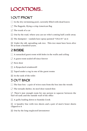### LOCATIONS...

### 1 OUT FRONT

- $\lceil \cdot \rceil$  In the dry swimming pool, currently filled with dead leaves
- $\Gamma$  The flagpole, flying a crisp American flag
- $\Gamma$  The trunk of a car
- $\left| \right|$  Out by the road, where you can see who's coming half a mile away
- $\mathbb{E}$  The dumpster vandals have spray-painted "USA #1" on it

**FEE** Under the old, spreading oak tree. This tree must have been alive for at least a hundred years.

### 2 INSIDE

- $\lceil \cdot \rceil$  A ransacked guest room with holes in the walls and ceiling
- $\cdot$  A guest room sealed off since forever
- $\cdot$  Next door
- $\mathbb{R}$  A flyspecked windowsill
- $\mathbb{E}$  Taped under a rug in one of the guest rooms
- **1** In the tank of the toilet

#### 3 OUT BACK

- $\lceil \cdot \rceil$  The fuse box a pair of wires runs from the box into the woods
- $\Gamma$  The tornado shelter, its steel door rusted thin

 $\overline{3}$  There's just enough room for one person to squeeze between the fuel-oil tank and the outside wall of the office

 $\boxed{\therefore}$  A gully leading down to Sumida Creek

 $\left[\cdot\right]$ . A laundry line with two sheets and a pair of men's boxer shorts clipped to it

**11** Out by the long-neglected lawnmower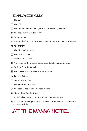### 4 EMPLOYEES ONLY

- $\lceil \cdot \rceil$  The safe
- $\Gamma$  The office
- $\overline{3}$  The room where the manager lives, formerly a guest room
- $\boxed{::}$  The desk drawers in the office
- $\boxed{5}$  Up on the roof
- $\left| \cdot \right|$ . The supply closet, containing a jug of ammonia and a nest of snakes

#### 5 NEARBY

- $\lceil \cdot \rceil$  The dirt road to town
- $\Gamma$  The railroad tracks
- **3** Sumida Creek Lake
- $\therefore$  A clearing in the woods, with a fire pit and a makeshift altar
- **E** Ed Keith's buffalo ranch
- **Fill The old cemetery, unused since the fifties**

#### 6 IN TOWN

- $\lceil \cdot \rceil$  Manna High School
- $\Gamma$  The Tyrell & Janes Bank
- $\Gamma$  The abandoned Manna railroad station
- **1. Manna First Baptist Church**
- $\mathbb{E}$  A padlocked entrance to the underground walkways

**FFI** A tiny zoo - no larger than a city block - run for some reason by the local power utility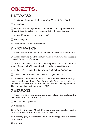### OBJECTS...

#### 1 UNTOWARD

 $\lceil \cdot \rceil$  A detailed diagram of the interior of the Tyrell & Janes Bank

 $\Gamma$  A peephole

 $\ddot{\cdot}$  Five photos held together by a rubber band. Each photo features a different disemboweled corpse surrounded by hooded figures.

 $\boxed{\therefore}$  A long, blond wig, matted with blood

 $\boxed{5}$  The wrong gun

**11** Seven dried ears on a dirty string

#### 2 INFORMATION

 $\lfloor \cdot \rfloor$  A WPA mural from 1940 in the lobby of the post office downtown

 $\cdot$  A map showing the 19th-century maze of walkways and passages beneath the streets of Manna.

 $\cdot$  Clipped from a magazine and carefully pressed in a book, an article about "Brother John" Lazia, crime boss in the Kansas City Mafia

 $\therefore$  A photo of the 1931 all-Asian Manna High School football team

 $\mathbb{E}$  A Polaroid of Sumida Creek Lake with a penciled "X"

 $\overline{f}$  A medal. The front side shows two men on horseback in mid-gallop exchanging a mailbag. One of the men is Caucasian; the other has distinctly Asian features. Motto: "Duty drives us -- We stop for none." The back side has the inscription, "1931".

#### 3 WEAPONS

 $\lceil \cdot \rceil$  A dagger with a bone handle and a wavy blade. The blade has the inscription, E PLURIBUS UNUM.

 $\Gamma$  Two gallons of gasoline

 $\overline{3}$  A spiked pit

 $\therefore$  A Smith & Wesson Model 10 government-issue revolver, dating from World War II, fully loaded with vintage ammo

 $\mathbb{E}$  A Tommy gun, disassembled and carefully wrapped in oily rags to prevent rust

 $\mathbf{H}$  A shovel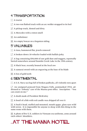#### 4 TRANSPORTATION

 $\lceil \cdot \rceil$  A tractor

- $\Gamma$  A two-ton flatbed truck with an arc welder strapped to its bed
- $\mathbf{3}$  A pickup truck, dented and dirty
- $\boxed{\therefore}$  A Mercedes with a rotten smell
- $\mathbb{E}$  An ambulance
- $\mathbf{F}$  An empty boxcar on a forgotten siding

#### 5 VALUABLES

 $\lceil \cdot \rceil$  A tiara, hammered flat, jewels removed

 $\cdot$  A broken-down 18-wheeler loaded with buffalo jerky

 $\cdot \cdot$  A bag containing \$50,000 of raw gold dust and nuggets, reportedly buried somewhere around Sumida Creek Lake in the 19th century

 $\mathbb{R}$  A black bear, recently housed at the local zoo

 $\mathbb{E}$  A samurai sword with an engraving at the base of its blade

 $\mathbf{F}$  A box of gold teeth

#### 6 SENTIMENTAL

 $\lceil \cdot \rceil$  A U.S. Navy sea bag full of broken padlocks, all violently torn apart

 $\therefore$  An unsigned postcard from Niagara Falls, postmarked 1934, addressed to "Johnny" care of the Manna post office. Inscription: "You can count on me."

 $\cdot$  A death mask of President McKinley

 $\therefore$  A fossil of a fish with red candle wax dripped all over it

 $\mathbb{E}$  A buck's head, stuffed and mounted, mouth agape, glass eyes wild with terror. It is impossible for anyone to sleep with this thing in the same room with them.

**EXA** photo of five U.S. soldiers in Vietnam-era uniforms, arms around each-others' shoulders.